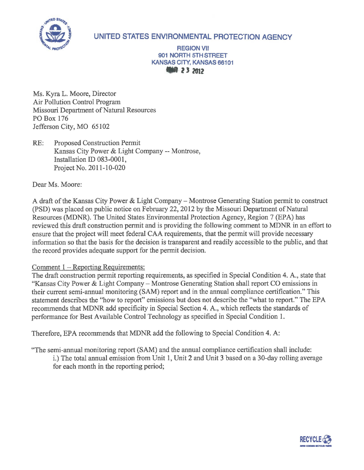

## **UNITED STATES ENVIRONMENTAL PROTECTION AGENCY**

## **REGION VII 901 NORTH 5TH STREET KANSAS CITY, KANSAS 66101**<br>**ANSAS CITY, KANSAS 66101**

Ms. Kyra L. Moore, Director Air Pollution Control Program Missouri Department of Natural Resources PO Box 176 Jefferson City, MO 65102

RE: Proposed Construction Permit Kansas City Power & Light Company -- Montrose, Installation ID 083-0001, Project No. 2011-10-020

Dear Ms. Moore:

A draft of the Kansas City Power & Light Company- Montrose Generating Station permit to construct (PSD) was placed on public notice on February 22, 2012 by the Missouri Department of Natural Resources (MDNR). The United States Environmental Protection Agency, Region 7 (EPA) has reviewed this draft construction permit and is providing the following comment to MDNR in an effort to ensure that the project will meet federal CAA requirements, that the permit will provide necessary information so that the basis for the decision is transparent and readily accessible to the public, and that the record provides adequate support for the permit decision.

## Comment 1 – Reporting Requirements:

The draft construction permit reporting requirements, as specified in Special Condition 4. A., state that "Kansas City Power & Light Company - Montrose Generating Station shall report CO emissions in their current semi-annual monitoring (SAM) report and in the annual compliance certification." This statement describes the "how to report" emissions but does not describe the "what to report." The EPA recommends that MDNR add specificity in Special Section 4. A., which reflects the standards of performance for Best Available Control Technology as specified in Special Condition 1.

Therefore, EPA recommends that MDNR add the following to Special Condition 4. A:

"The semi-annual monitoring report (SAM) and the annual compliance certification shall include:

i.) The total annual emission from Unit 1, Unit 2 and Unit 3 based on a 30-day rolling average for each month in the reporting period;